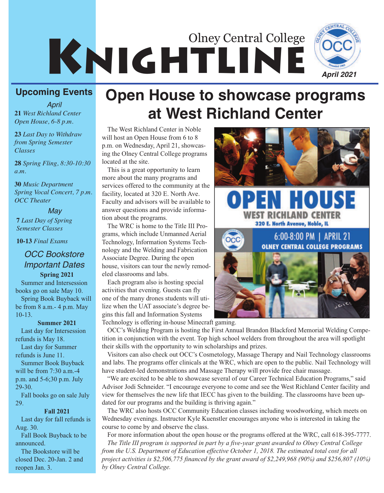# KNIGHTLINE Olney Central College



 $\sim$ 

### **Upcoming Events**

*April Open House, 6-8 p.m.*

**23** *Last Day to Withdraw from Spring Semester Classes*

**28** *Spring Fling, 8:30-10:30 a.m.* 

**30** *Music Department Spring Vocal Concert, 7 p.m. OCC Theater*

#### *May*

**7** *Last Day of Spring Semester Classes*

**10-13** *Final Exams*

### *OCC Bookstore Important Dates*

**Spring 2021**

Summer and Intersession books go on sale May 10.

Spring Book Buyback will be from 8 a.m.- 4 p.m. May 10-13.

#### **Summer 2021**

Last day for Intersession refunds is May 18.

Last day for Summer refunds is June 11.

Summer Book Buyback will be from 7:30 a.m.-4 p.m. and 5-6;30 p.m. July 29-30.

Fall books go on sale July 29.

#### **Fall 2021**

Last day for fall refunds is Aug. 30.

Fall Book Buyback to be announced.

The Bookstore will be closed Dec. 20-Jan. 2 and reopen Jan. 3.

## **Open House to showcase programs at West Richland Center <sup>21</sup>** *West Richland Center*

The West Richland Center in Noble will host an Open House from 6 to 8 p.m. on Wednesday, April 21, showcasing the Olney Central College programs located at the site.

This is a great opportunity to learn more about the many programs and services offered to the community at the facility, located at 320 E. North Ave. Faculty and advisors will be available to answer questions and provide information about the programs.

The WRC is home to the Title III Programs, which include Unmanned Aerial Technology, Information Systems Technology and the Welding and Fabrication Associate Degree. During the open house, visitors can tour the newly remodeled classrooms and labs.

Each program also is hosting special activities that evening. Guests can fly one of the many drones students will utilize when the UAT associate's degree begins this fall and Information Systems

Technology is offering in-house Minecraft gaming.

OCC's Welding Program is hosting the First Annual Brandon Blackford Memorial Welding Competition in conjunction with the event. Top high school welders from throughout the area will spotlight their skills with the opportunity to win scholarships and prizes.

Visitors can also check out OCC's Cosmetology, Massage Therapy and Nail Technology classrooms and labs. The programs offer clinicals at the WRC, which are open to the public. Nail Technology will have student-led demonstrations and Massage Therapy will provide free chair massage.

"We are excited to be able to showcase several of our Career Technical Education Programs," said Advisor Jodi Schneider. "I encourage everyone to come and see the West Richland Center facility and view for themselves the new life that IECC has given to the building. The classrooms have been updated for our programs and the building is thriving again."

The WRC also hosts OCC Community Education classes including woodworking, which meets on Wednesday evenings. Instructor Kyle Kuenstler encourages anyone who is interested in taking the course to come by and observe the class.

For more information about the open house or the programs offered at the WRC, call 618-395-7777. *The Title III program is supported in part by a five-year grant awarded to Olney Central College from the U.S. Department of Education effective October 1, 2018. The estimated total cost for all project activities is \$2,506,775 financed by the grant award of \$2,249,968 (90%) and \$256,807 (10%) by Olney Central College.*

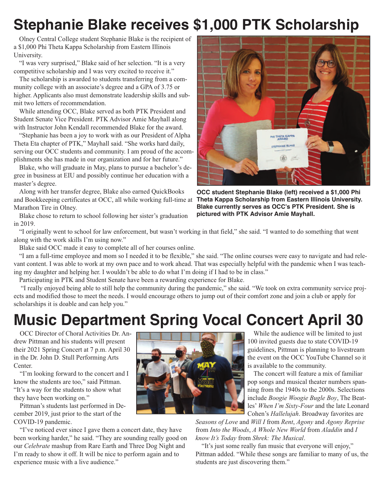## **Stephanie Blake receives \$1,000 PTK Scholarship**

Olney Central College student Stephanie Blake is the recipient of a \$1,000 Phi Theta Kappa Scholarship from Eastern Illinois University.

"I was very surprised," Blake said of her selection. "It is a very competitive scholarship and I was very excited to receive it."

The scholarship is awarded to students transferring from a community college with an associate's degree and a GPA of 3.75 or higher. Applicants also must demonstrate leadership skills and submit two letters of recommendation.

While attending OCC, Blake served as both PTK President and Student Senate Vice President. PTK Advisor Amie Mayhall along with Instructor John Kendall recommended Blake for the award.

"Stephanie has been a joy to work with as our President of Alpha Theta Eta chapter of PTK," Mayhall said. "She works hard daily, serving our OCC students and community. I am proud of the accomplishments she has made in our organization and for her future."

Blake, who will graduate in May, plans to pursue a bachelor's degree in business at EIU and possibly continue her education with a master's degree.

Along with her transfer degree, Blake also earned QuickBooks and Bookkeeping certificates at OCC, all while working full-time at Marathon Tire in Olney.

Blake chose to return to school following her sister's graduation in 2019.



**OCC student Stephanie Blake (left) received a \$1,000 Phi Theta Kappa Scholarship from Eastern Illinois University. Blake currently serves as OCC's PTK President. She is pictured with PTK Advisor Amie Mayhall.**

"I originally went to school for law enforcement, but wasn't working in that field," she said. "I wanted to do something that went along with the work skills I'm using now."

Blake said OCC made it easy to complete all of her courses online.

"I am a full-time employee and mom so I needed it to be flexible," she said. "The online courses were easy to navigate and had relevant content. I was able to work at my own pace and to work ahead. That was especially helpful with the pandemic when I was teaching my daughter and helping her. I wouldn't be able to do what I'm doing if I had to be in class."

Participating in PTK and Student Senate have been a rewarding experience for Blake.

"I really enjoyed being able to still help the community during the pandemic," she said. "We took on extra community service projects and modified those to meet the needs. I would encourage others to jump out of their comfort zone and join a club or apply for scholarships it is doable and can help you."

## **Music Department Spring Vocal Concert April 30**

OCC Director of Choral Activities Dr. Andrew Pittman and his students will present their 2021 Spring Concert at 7 p.m. April 30 in the Dr. John D. Stull Performing Arts Center.

"I'm looking forward to the concert and I know the students are too," said Pittman. "It's a way for the students to show what they have been working on."

Pittman's students last performed in December 2019, just prior to the start of the COVID-19 pandemic.

"I've noticed ever since I gave them a concert date, they have been working harder," he said. "They are sounding really good on our *Celebrate* mashup from Rare Earth and Three Dog Night and I'm ready to show it off. It will be nice to perform again and to experience music with a live audience."



While the audience will be limited to just 100 invited guests due to state COVID-19 guidelines, Pittman is planning to livestream the event on the OCC YouTube Channel so it is available to the community.

The concert will feature a mix of familiar pop songs and musical theater numbers spanning from the 1940s to the 2000s. Selections include *Boogie Woogie Bugle Boy*, The Beatles' *When I'm Sixty-Four* and the late Leonard Cohen's *Hallelujah*. Broadway favorites are

*Seasons of Love* and *Will I* from *Rent*, *Agony* and *Agony Reprise* from *Into the Woods*, *A Whole New World* from *Aladdin* and *I know It's Today* from *Shrek: The Musical*.

"It's just some really fun music that everyone will enjoy," Pittman added. "While these songs are familiar to many of us, the students are just discovering them."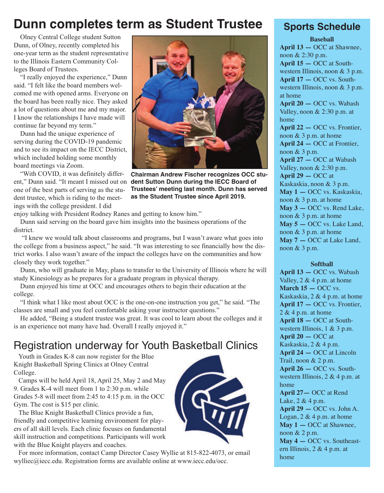## **Dunn completes term as Student Trustee**

Olney Central College student Sutton Dunn, of Olney, recently completed his one-year term as the student representative to the Illinois Eastern Community Colleges Board of Trustees.

"I really enjoyed the experience," Dunn said. "I felt like the board members welcomed me with opened arms. Everyone on the board has been really nice. They asked a lot of questions about me and my major. I know the relationships I have made will continue far beyond my term."

Dunn had the unique experience of serving during the COVID-19 pandemic and to see its impact on the IECC District, which included holding some monthly board meetings via Zoom.

"With COVID, it was definitely differone of the best parts of serving as the student trustee, which is riding to the meetings with the college president. I did



ent," Dunn said. "It meant I missed out on dent Sutton Dunn during the IECC Board of **Chairman Andrew Fischer recognizes OCC stu-Trustees' meeting last month. Dunn has served as the Student Trustee since April 2019.**

enjoy talking with President Rodney Ranes and getting to know him."

Dunn said serving on the board gave him insights into the business operations of the district.

"I knew we would talk about classrooms and programs, but I wasn't aware what goes into the college from a business aspect," he said. "It was interesting to see financially how the district works. I also wasn't aware of the impact the colleges have on the communities and how closely they work together."

Dunn, who will graduate in May, plans to transfer to the University of Illinois where he will study Kinesiology as he prepares for a graduate program in physical therapy.

Dunn enjoyed his time at OCC and encourages others to begin their education at the college.

"I think what I like most about OCC is the one-on-one instruction you get," he said. "The classes are small and you feel comfortable asking your instructor questions."

He added, "Being a student trustee was great. It was cool to learn about the colleges and it is an experience not many have had. Overall I really enjoyed it."

## Registration underway for Youth Basketball Clinics

Youth in Grades K-8 can now register for the Blue Knight Basketball Spring Clinics at Olney Central College.

Camps will be held April 18, April 25, May 2 and May 9. Grades K-4 will meet from 1 to 2:30 p.m. while Grades 5-8 will meet from 2:45 to 4:15 p.m. in the OCC Gym. The cost is \$15 per clinic.

The Blue Knight Basketball Clinics provide a fun, friendly and competitive learning environment for players of all skill levels. Each clinic focuses on fundamental skill instruction and competitions. Participants will work with the Blue Knight players and coaches.

For more information, contact Camp Director Casey Wyllie at 815-822-4073, or email wylliec@iecc.edu. Registration forms are available online at www.iecc.edu/occ.



### **Sports Schedule**

**Baseball April 13 —** OCC at Shawnee, noon & 2:30 p.m. **April 15 —** OCC at Southwestern Illinois, noon & 3 p.m. **April 17 —** OCC vs. Southwestern Illinois, noon & 3 p.m. at home **April 20 —** OCC vs. Wabash Valley, noon & 2:30 p.m. at home **April 22 —** OCC vs. Frontier, noon & 3 p.m. at home **April 24 —** OCC at Frontier, noon & 3 p.m. **April 27 —** OCC at Wabash Valley, noon & 2:30 p.m. **April 29 —** OCC at Kaskaskia, noon & 3 p.m. **May 1 —** OCC vs. Kaskaskia, noon & 3 p.m. at home **May 3 —** OCC vs. Rend Lake, noon & 3 p.m. at home **May 5 —** OCC vs. Lake Land, noon & 3 p.m. at home **May 7 —** OCC at Lake Land, noon & 3 p.m.

#### **Softball**

**April 13 —** OCC vs. Wabash Valley,  $2 \& 4 \text{ p.m.}$  at home **March 15 – OCC vs.** Kaskaskia, 2 & 4 p.m. at home **April 17 —** OCC vs. Frontier, 2 & 4 p.m. at home **April 18 —** OCC at Southwestern Illinois, 1 & 3 p.m. **April 20 —** OCC at Kaskaskia, 2 & 4 p.m. **April 24 —** OCC at Lincoln Trail, noon & 2 p.m. **April 26 —** OCC vs. Southwestern Illinois, 2 & 4 p.m. at home **April 27—** OCC at Rend Lake, 2 & 4 p.m. **April 29 —** OCC vs. John A. Logan,  $2 \& 4 \text{ p.m.}$  at home **May 1 —** OCC at Shawnee, noon & 2 p.m. **May 4 —** OCC vs. Southeastern Illinois, 2 & 4 p.m. at home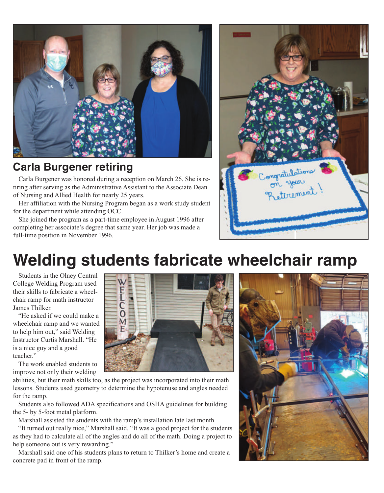

## **Carla Burgener retiring**

Carla Burgener was honored during a reception on March 26. She is retiring after serving as the Administrative Assistant to the Associate Dean of Nursing and Allied Health for nearly 25 years.

Her affiliation with the Nursing Program began as a work study student for the department while attending OCC.

She joined the program as a part-time employee in August 1996 after completing her associate's degree that same year. Her job was made a full-time position in November 1996.



## **Welding students fabricate wheelchair ramp**

Students in the Olney Central College Welding Program used their skills to fabricate a wheelchair ramp for math instructor James Thilker.

"He asked if we could make a wheelchair ramp and we wanted to help him out," said Welding Instructor Curtis Marshall. "He is a nice guy and a good teacher."

The work enabled students to improve not only their welding

abilities, but their math skills too, as the project was incorporated into their math lessons. Students used geometry to determine the hypotenuse and angles needed for the ramp.

Students also followed ADA specifications and OSHA guidelines for building the 5- by 5-foot metal platform.

Marshall assisted the students with the ramp's installation late last month.

"It turned out really nice," Marshall said. "It was a good project for the students as they had to calculate all of the angles and do all of the math. Doing a project to help someone out is very rewarding."

Marshall said one of his students plans to return to Thilker's home and create a concrete pad in front of the ramp.